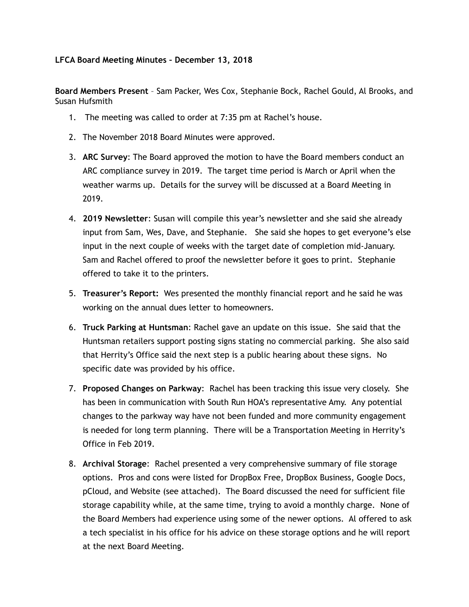## **LFCA Board Meeting Minutes – December 13, 2018**

**Board Members Present** – Sam Packer, Wes Cox, Stephanie Bock, Rachel Gould, Al Brooks, and Susan Hufsmith

- 1. The meeting was called to order at 7:35 pm at Rachel's house.
- 2. The November 2018 Board Minutes were approved.
- 3. **ARC Survey**: The Board approved the motion to have the Board members conduct an ARC compliance survey in 2019. The target time period is March or April when the weather warms up. Details for the survey will be discussed at a Board Meeting in 2019.
- 4. **2019 Newsletter**: Susan will compile this year's newsletter and she said she already input from Sam, Wes, Dave, and Stephanie. She said she hopes to get everyone's else input in the next couple of weeks with the target date of completion mid-January. Sam and Rachel offered to proof the newsletter before it goes to print. Stephanie offered to take it to the printers.
- 5. **Treasurer's Report:** Wes presented the monthly financial report and he said he was working on the annual dues letter to homeowners.
- 6. **Truck Parking at Huntsman**: Rachel gave an update on this issue. She said that the Huntsman retailers support posting signs stating no commercial parking. She also said that Herrity's Office said the next step is a public hearing about these signs. No specific date was provided by his office.
- 7. **Proposed Changes on Parkway**: Rachel has been tracking this issue very closely. She has been in communication with South Run HOA's representative Amy. Any potential changes to the parkway way have not been funded and more community engagement is needed for long term planning. There will be a Transportation Meeting in Herrity's Office in Feb 2019.
- 8. **Archival Storage**: Rachel presented a very comprehensive summary of file storage options. Pros and cons were listed for DropBox Free, DropBox Business, Google Docs, pCloud, and Website (see attached). The Board discussed the need for sufficient file storage capability while, at the same time, trying to avoid a monthly charge. None of the Board Members had experience using some of the newer options. Al offered to ask a tech specialist in his office for his advice on these storage options and he will report at the next Board Meeting.